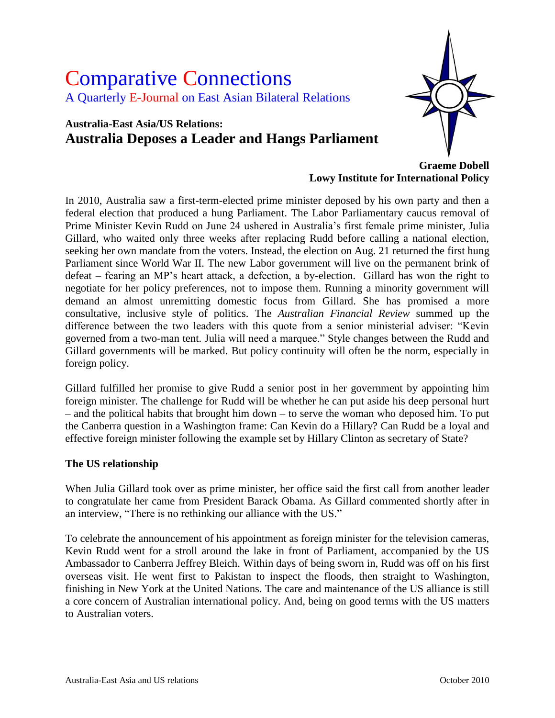# Comparative Connections A Quarterly E-Journal on East Asian Bilateral Relations

## **Australia-East Asia/US Relations: Australia Deposes a Leader and Hangs Parliament**



**Graeme Dobell Lowy Institute for International Policy**

In 2010, Australia saw a first-term-elected prime minister deposed by his own party and then a federal election that produced a hung Parliament. The Labor Parliamentary caucus removal of Prime Minister Kevin Rudd on June 24 ushered in Australia"s first female prime minister, Julia Gillard, who waited only three weeks after replacing Rudd before calling a national election, seeking her own mandate from the voters. Instead, the election on Aug. 21 returned the first hung Parliament since World War II. The new Labor government will live on the permanent brink of defeat – fearing an MP"s heart attack, a defection, a by-election. Gillard has won the right to negotiate for her policy preferences, not to impose them. Running a minority government will demand an almost unremitting domestic focus from Gillard. She has promised a more consultative, inclusive style of politics. The *Australian Financial Review* summed up the difference between the two leaders with this quote from a senior ministerial adviser: "Kevin governed from a two-man tent. Julia will need a marquee." Style changes between the Rudd and Gillard governments will be marked. But policy continuity will often be the norm, especially in foreign policy.

Gillard fulfilled her promise to give Rudd a senior post in her government by appointing him foreign minister. The challenge for Rudd will be whether he can put aside his deep personal hurt – and the political habits that brought him down – to serve the woman who deposed him. To put the Canberra question in a Washington frame: Can Kevin do a Hillary? Can Rudd be a loyal and effective foreign minister following the example set by Hillary Clinton as secretary of State?

#### **The US relationship**

When Julia Gillard took over as prime minister, her office said the first call from another leader to congratulate her came from President Barack Obama. As Gillard commented shortly after in an interview, "There is no rethinking our alliance with the US."

To celebrate the announcement of his appointment as foreign minister for the television cameras, Kevin Rudd went for a stroll around the lake in front of Parliament, accompanied by the US Ambassador to Canberra Jeffrey Bleich. Within days of being sworn in, Rudd was off on his first overseas visit. He went first to Pakistan to inspect the floods, then straight to Washington, finishing in New York at the United Nations. The care and maintenance of the US alliance is still a core concern of Australian international policy. And, being on good terms with the US matters to Australian voters.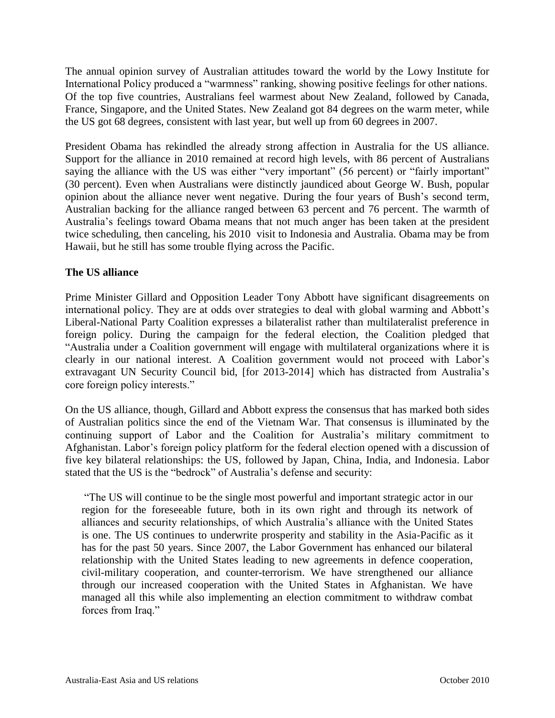The annual opinion survey of Australian attitudes toward the world by the Lowy Institute for International Policy produced a "warmness" ranking, showing positive feelings for other nations. Of the top five countries, Australians feel warmest about New Zealand, followed by Canada, France, Singapore, and the United States. New Zealand got 84 degrees on the warm meter, while the US got 68 degrees, consistent with last year, but well up from 60 degrees in 2007.

President Obama has rekindled the already strong affection in Australia for the US alliance. Support for the alliance in 2010 remained at record high levels, with 86 percent of Australians saying the alliance with the US was either "very important" (56 percent) or "fairly important" (30 percent). Even when Australians were distinctly jaundiced about George W. Bush, popular opinion about the alliance never went negative. During the four years of Bush"s second term, Australian backing for the alliance ranged between 63 percent and 76 percent. The warmth of Australia"s feelings toward Obama means that not much anger has been taken at the president twice scheduling, then canceling, his 2010 visit to Indonesia and Australia. Obama may be from Hawaii, but he still has some trouble flying across the Pacific.

#### **The US alliance**

Prime Minister Gillard and Opposition Leader Tony Abbott have significant disagreements on international policy. They are at odds over strategies to deal with global warming and Abbott"s Liberal-National Party Coalition expresses a bilateralist rather than multilateralist preference in foreign policy. During the campaign for the federal election, the Coalition pledged that "Australia under a Coalition government will engage with multilateral organizations where it is clearly in our national interest. A Coalition government would not proceed with Labor"s extravagant UN Security Council bid, [for 2013-2014] which has distracted from Australia"s core foreign policy interests."

On the US alliance, though, Gillard and Abbott express the consensus that has marked both sides of Australian politics since the end of the Vietnam War. That consensus is illuminated by the continuing support of Labor and the Coalition for Australia's military commitment to Afghanistan. Labor"s foreign policy platform for the federal election opened with a discussion of five key bilateral relationships: the US, followed by Japan, China, India, and Indonesia. Labor stated that the US is the "bedrock" of Australia"s defense and security:

"The US will continue to be the single most powerful and important strategic actor in our region for the foreseeable future, both in its own right and through its network of alliances and security relationships, of which Australia"s alliance with the United States is one. The US continues to underwrite prosperity and stability in the Asia-Pacific as it has for the past 50 years. Since 2007, the Labor Government has enhanced our bilateral relationship with the United States leading to new agreements in defence cooperation, civil-military cooperation, and counter-terrorism. We have strengthened our alliance through our increased cooperation with the United States in Afghanistan. We have managed all this while also implementing an election commitment to withdraw combat forces from Iraq."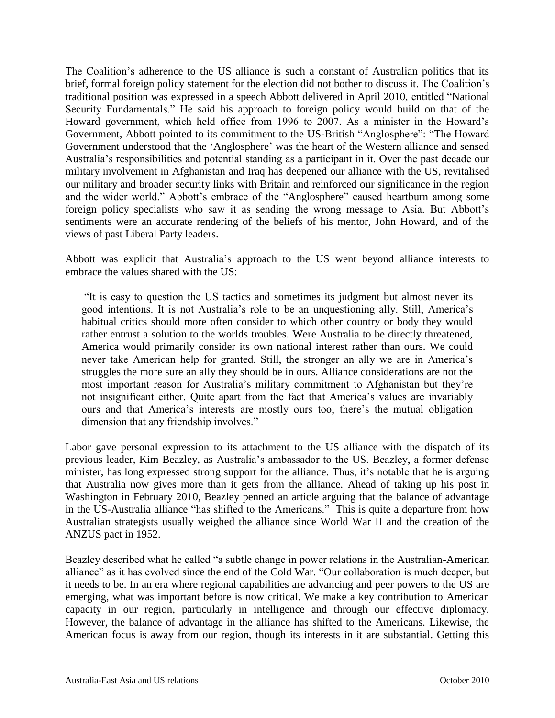The Coalition"s adherence to the US alliance is such a constant of Australian politics that its brief, formal foreign policy statement for the election did not bother to discuss it. The Coalition"s traditional position was expressed in a speech Abbott delivered in April 2010, entitled "National Security Fundamentals." He said his approach to foreign policy would build on that of the Howard government, which held office from 1996 to 2007. As a minister in the Howard"s Government, Abbott pointed to its commitment to the US-British "Anglosphere": "The Howard Government understood that the "Anglosphere" was the heart of the Western alliance and sensed Australia"s responsibilities and potential standing as a participant in it. Over the past decade our military involvement in Afghanistan and Iraq has deepened our alliance with the US, revitalised our military and broader security links with Britain and reinforced our significance in the region and the wider world." Abbott's embrace of the "Anglosphere" caused heartburn among some foreign policy specialists who saw it as sending the wrong message to Asia. But Abbott"s sentiments were an accurate rendering of the beliefs of his mentor, John Howard, and of the views of past Liberal Party leaders.

Abbott was explicit that Australia"s approach to the US went beyond alliance interests to embrace the values shared with the US:

"It is easy to question the US tactics and sometimes its judgment but almost never its good intentions. It is not Australia's role to be an unquestioning ally. Still, America's habitual critics should more often consider to which other country or body they would rather entrust a solution to the worlds troubles. Were Australia to be directly threatened, America would primarily consider its own national interest rather than ours. We could never take American help for granted. Still, the stronger an ally we are in America"s struggles the more sure an ally they should be in ours. Alliance considerations are not the most important reason for Australia's military commitment to Afghanistan but they're not insignificant either. Quite apart from the fact that America"s values are invariably ours and that America"s interests are mostly ours too, there"s the mutual obligation dimension that any friendship involves."

Labor gave personal expression to its attachment to the US alliance with the dispatch of its previous leader, Kim Beazley, as Australia's ambassador to the US. Beazley, a former defense minister, has long expressed strong support for the alliance. Thus, it's notable that he is arguing that Australia now gives more than it gets from the alliance. Ahead of taking up his post in Washington in February 2010, Beazley penned an article arguing that the balance of advantage in the US-Australia alliance "has shifted to the Americans." This is quite a departure from how Australian strategists usually weighed the alliance since World War II and the creation of the ANZUS pact in 1952.

Beazley described what he called "a subtle change in power relations in the Australian-American alliance" as it has evolved since the end of the Cold War. "Our collaboration is much deeper, but it needs to be. In an era where regional capabilities are advancing and peer powers to the US are emerging, what was important before is now critical. We make a key contribution to American capacity in our region, particularly in intelligence and through our effective diplomacy. However, the balance of advantage in the alliance has shifted to the Americans. Likewise, the American focus is away from our region, though its interests in it are substantial. Getting this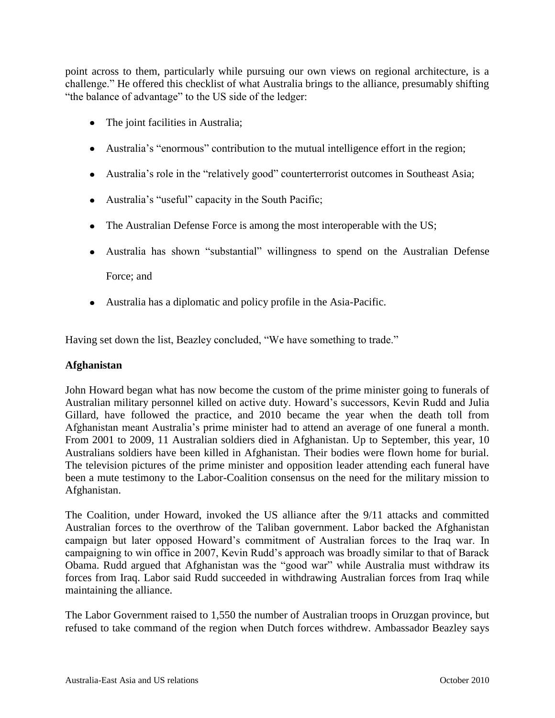point across to them, particularly while pursuing our own views on regional architecture, is a challenge." He offered this checklist of what Australia brings to the alliance, presumably shifting "the balance of advantage" to the US side of the ledger:

- The joint facilities in Australia;
- Australia"s "enormous" contribution to the mutual intelligence effort in the region;
- Australia"s role in the "relatively good" counterterrorist outcomes in Southeast Asia;
- Australia"s "useful" capacity in the South Pacific;
- The Australian Defense Force is among the most interoperable with the US;
- Australia has shown "substantial" willingness to spend on the Australian Defense

Force; and

Australia has a diplomatic and policy profile in the Asia-Pacific.

Having set down the list, Beazley concluded, "We have something to trade."

#### **Afghanistan**

John Howard began what has now become the custom of the prime minister going to funerals of Australian military personnel killed on active duty. Howard"s successors, Kevin Rudd and Julia Gillard, have followed the practice, and 2010 became the year when the death toll from Afghanistan meant Australia"s prime minister had to attend an average of one funeral a month. From 2001 to 2009, 11 Australian soldiers died in Afghanistan. Up to September, this year, 10 Australians soldiers have been killed in Afghanistan. Their bodies were flown home for burial. The television pictures of the prime minister and opposition leader attending each funeral have been a mute testimony to the Labor-Coalition consensus on the need for the military mission to Afghanistan.

The Coalition, under Howard, invoked the US alliance after the 9/11 attacks and committed Australian forces to the overthrow of the Taliban government. Labor backed the Afghanistan campaign but later opposed Howard"s commitment of Australian forces to the Iraq war. In campaigning to win office in 2007, Kevin Rudd"s approach was broadly similar to that of Barack Obama. Rudd argued that Afghanistan was the "good war" while Australia must withdraw its forces from Iraq. Labor said Rudd succeeded in withdrawing Australian forces from Iraq while maintaining the alliance.

The Labor Government raised to 1,550 the number of Australian troops in Oruzgan province, but refused to take command of the region when Dutch forces withdrew. Ambassador Beazley says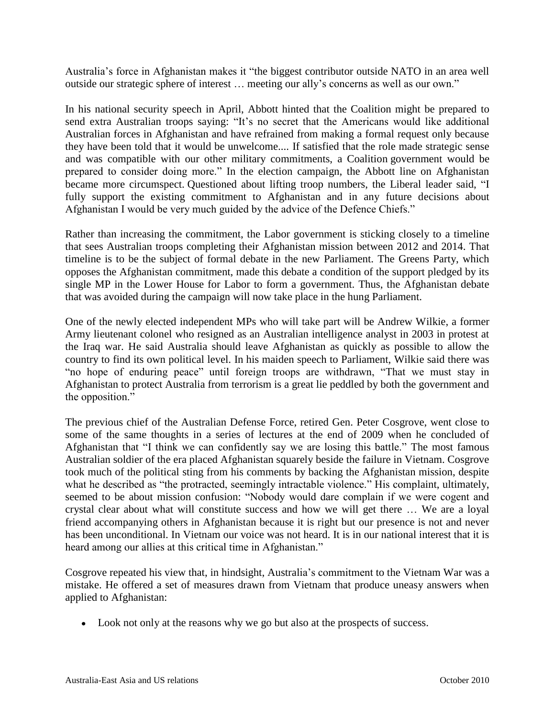Australia"s force in Afghanistan makes it "the biggest contributor outside NATO in an area well outside our strategic sphere of interest … meeting our ally"s concerns as well as our own."

In his national security speech in April, Abbott hinted that the Coalition might be prepared to send extra Australian troops saying: "It's no secret that the Americans would like additional Australian forces in Afghanistan and have refrained from making a formal request only because they have been told that it would be unwelcome.... If satisfied that the role made strategic sense and was compatible with our other military commitments, a Coalition government would be prepared to consider doing more." In the election campaign, the Abbott line on Afghanistan became more circumspect. Questioned about lifting troop numbers, the Liberal leader said, "I fully support the existing commitment to Afghanistan and in any future decisions about Afghanistan I would be very much guided by the advice of the Defence Chiefs."

Rather than increasing the commitment, the Labor government is sticking closely to a timeline that sees Australian troops completing their Afghanistan mission between 2012 and 2014. That timeline is to be the subject of formal debate in the new Parliament. The Greens Party, which opposes the Afghanistan commitment, made this debate a condition of the support pledged by its single MP in the Lower House for Labor to form a government. Thus, the Afghanistan debate that was avoided during the campaign will now take place in the hung Parliament.

One of the newly elected independent MPs who will take part will be Andrew Wilkie, a former Army lieutenant colonel who resigned as an Australian intelligence analyst in 2003 in protest at the Iraq war. He said Australia should leave Afghanistan as quickly as possible to allow the country to find its own political level. In his maiden speech to Parliament, Wilkie said there was "no hope of enduring peace" until foreign troops are withdrawn, "That we must stay in Afghanistan to protect Australia from terrorism is a great lie peddled by both the government and the opposition."

The previous chief of the Australian Defense Force, retired Gen. Peter Cosgrove, went close to some of the same thoughts in a series of lectures at the end of 2009 when he concluded of Afghanistan that "I think we can confidently say we are losing this battle." The most famous Australian soldier of the era placed Afghanistan squarely beside the failure in Vietnam. Cosgrove took much of the political sting from his comments by backing the Afghanistan mission, despite what he described as "the protracted, seemingly intractable violence." His complaint, ultimately, seemed to be about mission confusion: "Nobody would dare complain if we were cogent and crystal clear about what will constitute success and how we will get there … We are a loyal friend accompanying others in Afghanistan because it is right but our presence is not and never has been unconditional. In Vietnam our voice was not heard. It is in our national interest that it is heard among our allies at this critical time in Afghanistan."

Cosgrove repeated his view that, in hindsight, Australia"s commitment to the Vietnam War was a mistake. He offered a set of measures drawn from Vietnam that produce uneasy answers when applied to Afghanistan:

Look not only at the reasons why we go but also at the prospects of success.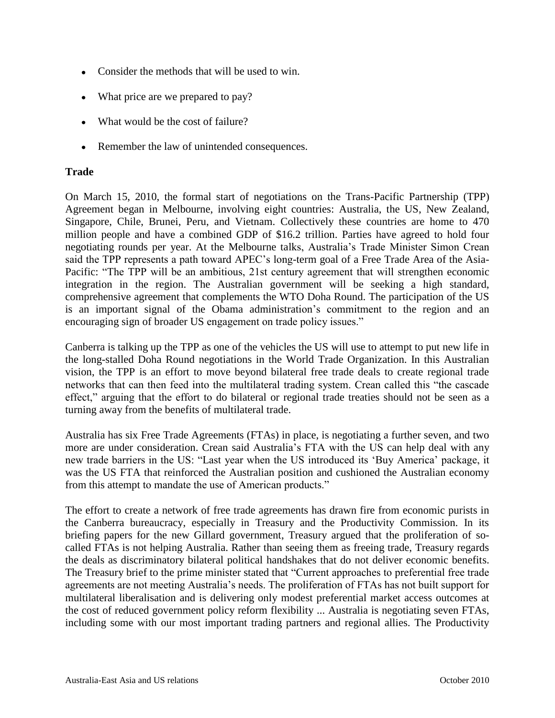- Consider the methods that will be used to win.
- What price are we prepared to pay?
- What would be the cost of failure?
- Remember the law of unintended consequences.

#### **Trade**

On March 15, 2010, the formal start of negotiations on the Trans-Pacific Partnership (TPP) Agreement began in Melbourne, involving eight countries: Australia, the US, New Zealand, Singapore, Chile, Brunei, Peru, and Vietnam. Collectively these countries are home to 470 million people and have a combined GDP of \$16.2 trillion. Parties have agreed to hold four negotiating rounds per year. At the Melbourne talks, Australia"s Trade Minister Simon Crean said the TPP represents a path toward APEC"s long-term goal of a Free Trade Area of the Asia-Pacific: "The TPP will be an ambitious, 21st century agreement that will strengthen economic integration in the region. The Australian government will be seeking a high standard, comprehensive agreement that complements the WTO Doha Round. The participation of the US is an important signal of the Obama administration"s commitment to the region and an encouraging sign of broader US engagement on trade policy issues."

Canberra is talking up the TPP as one of the vehicles the US will use to attempt to put new life in the long-stalled Doha Round negotiations in the World Trade Organization. In this Australian vision, the TPP is an effort to move beyond bilateral free trade deals to create regional trade networks that can then feed into the multilateral trading system. Crean called this "the cascade effect," arguing that the effort to do bilateral or regional trade treaties should not be seen as a turning away from the benefits of multilateral trade.

Australia has six Free Trade Agreements (FTAs) in place, is negotiating a further seven, and two more are under consideration. Crean said Australia"s FTA with the US can help deal with any new trade barriers in the US: "Last year when the US introduced its "Buy America" package, it was the US FTA that reinforced the Australian position and cushioned the Australian economy from this attempt to mandate the use of American products."

The effort to create a network of free trade agreements has drawn fire from economic purists in the Canberra bureaucracy, especially in Treasury and the Productivity Commission. In its briefing papers for the new Gillard government, Treasury argued that the proliferation of socalled FTAs is not helping Australia. Rather than seeing them as freeing trade, Treasury regards the deals as discriminatory bilateral political handshakes that do not deliver economic benefits. The Treasury brief to the prime minister stated that "Current approaches to preferential free trade agreements are not meeting Australia"s needs. The proliferation of FTAs has not built support for multilateral liberalisation and is delivering only modest preferential market access outcomes at the cost of reduced government policy reform flexibility ... Australia is negotiating seven FTAs, including some with our most important trading partners and regional allies. The Productivity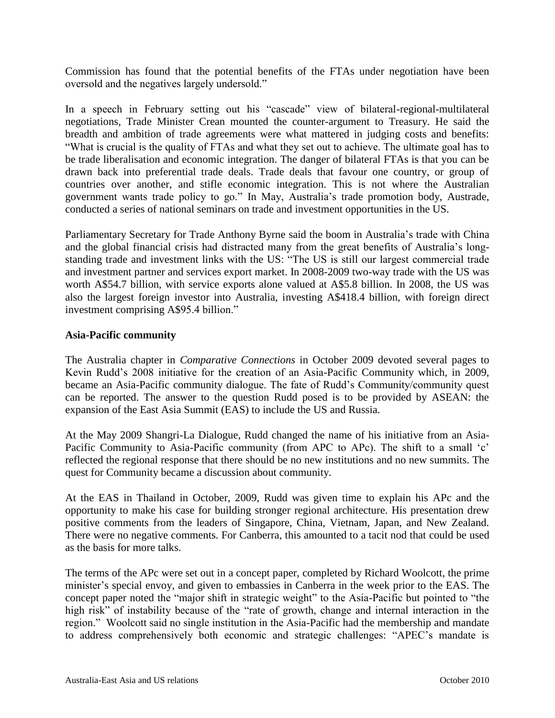Commission has found that the potential benefits of the FTAs under negotiation have been oversold and the negatives largely undersold."

In a speech in February setting out his "cascade" view of bilateral-regional-multilateral negotiations, Trade Minister Crean mounted the counter-argument to Treasury. He said the breadth and ambition of trade agreements were what mattered in judging costs and benefits: "What is crucial is the quality of FTAs and what they set out to achieve. The ultimate goal has to be trade liberalisation and economic integration. The danger of bilateral FTAs is that you can be drawn back into preferential trade deals. Trade deals that favour one country, or group of countries over another, and stifle economic integration. This is not where the Australian government wants trade policy to go." In May, Australia"s trade promotion body, Austrade, conducted a series of national seminars on trade and investment opportunities in the US.

Parliamentary Secretary for Trade Anthony Byrne said the boom in Australia"s trade with China and the global financial crisis had distracted many from the great benefits of Australia"s longstanding trade and investment links with the US: "The US is still our largest commercial trade and investment partner and services export market. In 2008-2009 two-way trade with the US was worth A\$54.7 billion, with service exports alone valued at A\$5.8 billion. In 2008, the US was also the largest foreign investor into Australia, investing A\$418.4 billion, with foreign direct investment comprising A\$95.4 billion."

#### **Asia-Pacific community**

The Australia chapter in *Comparative Connections* in October 2009 devoted several pages to Kevin Rudd"s 2008 initiative for the creation of an Asia-Pacific Community which, in 2009, became an Asia-Pacific community dialogue. The fate of Rudd's Community/community quest can be reported. The answer to the question Rudd posed is to be provided by ASEAN: the expansion of the East Asia Summit (EAS) to include the US and Russia.

At the May 2009 Shangri-La Dialogue, Rudd changed the name of his initiative from an Asia-Pacific Community to Asia-Pacific community (from APC to APc). The shift to a small 'c' reflected the regional response that there should be no new institutions and no new summits. The quest for Community became a discussion about community.

At the EAS in Thailand in October, 2009, Rudd was given time to explain his APc and the opportunity to make his case for building stronger regional architecture. His presentation drew positive comments from the leaders of Singapore, China, Vietnam, Japan, and New Zealand. There were no negative comments. For Canberra, this amounted to a tacit nod that could be used as the basis for more talks.

The terms of the APc were set out in a concept paper, completed by Richard Woolcott, the prime minister's special envoy, and given to embassies in Canberra in the week prior to the EAS. The concept paper noted the "major shift in strategic weight" to the Asia-Pacific but pointed to "the high risk" of instability because of the "rate of growth, change and internal interaction in the region." Woolcott said no single institution in the Asia-Pacific had the membership and mandate to address comprehensively both economic and strategic challenges: "APEC"s mandate is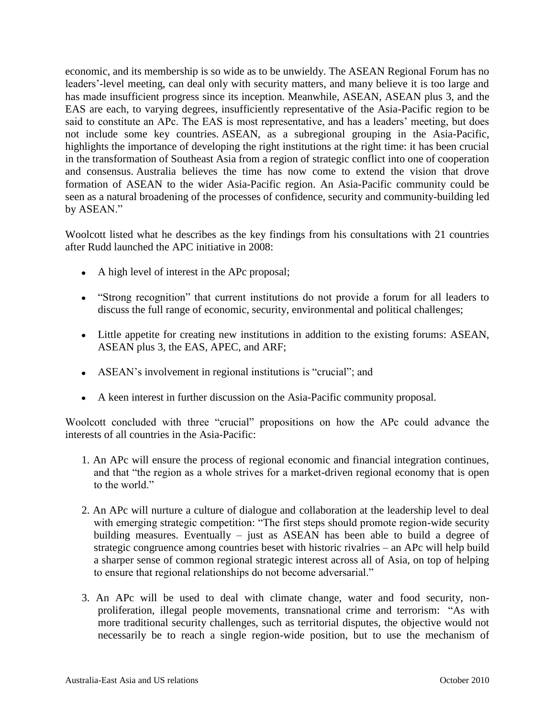economic, and its membership is so wide as to be unwieldy. The ASEAN Regional Forum has no leaders"-level meeting, can deal only with security matters, and many believe it is too large and has made insufficient progress since its inception. Meanwhile, ASEAN, ASEAN plus 3, and the EAS are each, to varying degrees, insufficiently representative of the Asia-Pacific region to be said to constitute an APc. The EAS is most representative, and has a leaders' meeting, but does not include some key countries. ASEAN, as a subregional grouping in the Asia-Pacific, highlights the importance of developing the right institutions at the right time: it has been crucial in the transformation of Southeast Asia from a region of strategic conflict into one of cooperation and consensus. Australia believes the time has now come to extend the vision that drove formation of ASEAN to the wider Asia-Pacific region. An Asia-Pacific community could be seen as a natural broadening of the processes of confidence, security and community-building led by ASEAN."

Woolcott listed what he describes as the key findings from his consultations with 21 countries after Rudd launched the APC initiative in 2008:

- A high level of interest in the APc proposal;
- "Strong recognition" that current institutions do not provide a forum for all leaders to discuss the full range of economic, security, environmental and political challenges;
- Little appetite for creating new institutions in addition to the existing forums: ASEAN, ASEAN plus 3, the EAS, APEC, and ARF;
- ASEAN"s involvement in regional institutions is "crucial"; and
- A keen interest in further discussion on the Asia-Pacific community proposal.

Woolcott concluded with three "crucial" propositions on how the APc could advance the interests of all countries in the Asia-Pacific:

- 1. An APc will ensure the process of regional economic and financial integration continues, and that "the region as a whole strives for a market-driven regional economy that is open to the world."
- 2. An APc will nurture a culture of dialogue and collaboration at the leadership level to deal with emerging strategic competition: "The first steps should promote region-wide security building measures. Eventually – just as ASEAN has been able to build a degree of strategic congruence among countries beset with historic rivalries – an APc will help build a sharper sense of common regional strategic interest across all of Asia, on top of helping to ensure that regional relationships do not become adversarial."
- 3. An APc will be used to deal with climate change, water and food security, nonproliferation, illegal people movements, transnational crime and terrorism: "As with more traditional security challenges, such as territorial disputes, the objective would not necessarily be to reach a single region-wide position, but to use the mechanism of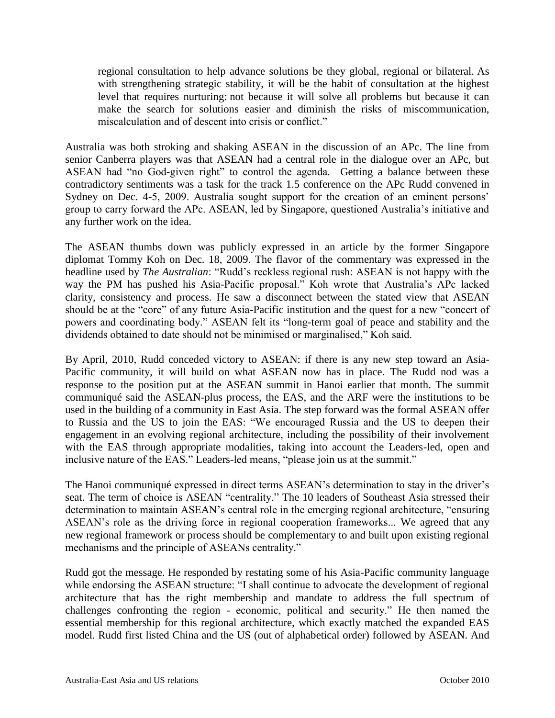regional consultation to help advance solutions be they global, regional or bilateral. As with strengthening strategic stability, it will be the habit of consultation at the highest level that requires nurturing: not because it will solve all problems but because it can make the search for solutions easier and diminish the risks of miscommunication, miscalculation and of descent into crisis or conflict."

Australia was both stroking and shaking ASEAN in the discussion of an APc. The line from senior Canberra players was that ASEAN had a central role in the dialogue over an APc, but ASEAN had "no God-given right" to control the agenda. Getting a balance between these contradictory sentiments was a task for the track 1.5 conference on the APc Rudd convened in Sydney on Dec. 4-5, 2009. Australia sought support for the creation of an eminent persons' group to carry forward the APc. ASEAN, led by Singapore, questioned Australia"s initiative and any further work on the idea.

The ASEAN thumbs down was publicly expressed in an article by the former Singapore diplomat Tommy Koh on Dec. 18, 2009. The flavor of the commentary was expressed in the headline used by *The Australian*: "Rudd"s reckless regional rush: ASEAN is not happy with the way the PM has pushed his Asia-Pacific proposal." Koh wrote that Australia"s APc lacked clarity, consistency and process. He saw a disconnect between the stated view that ASEAN should be at the "core" of any future Asia-Pacific institution and the quest for a new "concert of powers and coordinating body." ASEAN felt its "long-term goal of peace and stability and the dividends obtained to date should not be minimised or marginalised," Koh said.

By April, 2010, Rudd conceded victory to ASEAN: if there is any new step toward an Asia-Pacific community, it will build on what ASEAN now has in place. The Rudd nod was a response to the position put at the ASEAN summit in Hanoi earlier that month. The summit communiqué said the ASEAN-plus process, the EAS, and the ARF were the institutions to be used in the building of a community in East Asia. The step forward was the formal ASEAN offer to Russia and the US to join the EAS: "We encouraged Russia and the US to deepen their engagement in an evolving regional architecture, including the possibility of their involvement with the EAS through appropriate modalities, taking into account the Leaders-led, open and inclusive nature of the EAS." Leaders-led means, "please join us at the summit."

The Hanoi communiqué expressed in direct terms ASEAN"s determination to stay in the driver"s seat. The term of choice is ASEAN "centrality." The 10 leaders of Southeast Asia stressed their determination to maintain ASEAN"s central role in the emerging regional architecture, "ensuring ASEAN"s role as the driving force in regional cooperation frameworks... We agreed that any new regional framework or process should be complementary to and built upon existing regional mechanisms and the principle of ASEANs centrality."

Rudd got the message. He responded by restating some of his Asia-Pacific community language while endorsing the ASEAN structure: "I shall continue to advocate the development of regional architecture that has the right membership and mandate to address the full spectrum of challenges confronting the region - economic, political and security." He then named the essential membership for this regional architecture, which exactly matched the expanded EAS model. Rudd first listed China and the US (out of alphabetical order) followed by ASEAN. And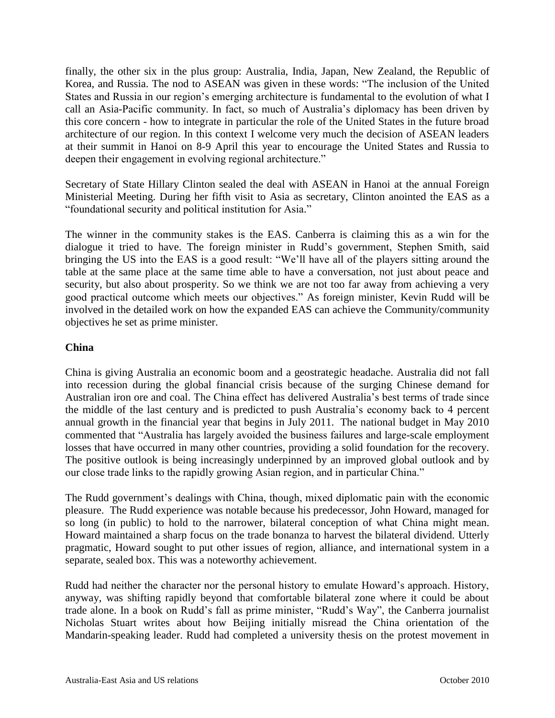finally, the other six in the plus group: Australia, India, Japan, New Zealand, the Republic of Korea, and Russia. The nod to ASEAN was given in these words: "The inclusion of the United States and Russia in our region's emerging architecture is fundamental to the evolution of what I call an Asia-Pacific community. In fact, so much of Australia's diplomacy has been driven by this core concern - how to integrate in particular the role of the United States in the future broad architecture of our region. In this context I welcome very much the decision of ASEAN leaders at their summit in Hanoi on 8-9 April this year to encourage the United States and Russia to deepen their engagement in evolving regional architecture."

Secretary of State Hillary Clinton sealed the deal with ASEAN in Hanoi at the annual Foreign Ministerial Meeting. During her fifth visit to Asia as secretary, Clinton anointed the EAS as a "foundational security and political institution for Asia."

The winner in the community stakes is the EAS. Canberra is claiming this as a win for the dialogue it tried to have. The foreign minister in Rudd"s government, Stephen Smith, said bringing the US into the EAS is a good result: "We"ll have all of the players sitting around the table at the same place at the same time able to have a conversation, not just about peace and security, but also about prosperity. So we think we are not too far away from achieving a very good practical outcome which meets our objectives." As foreign minister, Kevin Rudd will be involved in the detailed work on how the expanded EAS can achieve the Community/community objectives he set as prime minister.

#### **China**

China is giving Australia an economic boom and a geostrategic headache. Australia did not fall into recession during the global financial crisis because of the surging Chinese demand for Australian iron ore and coal. The China effect has delivered Australia"s best terms of trade since the middle of the last century and is predicted to push Australia"s economy back to 4 percent annual growth in the financial year that begins in July 2011. The national budget in May 2010 commented that "Australia has largely avoided the business failures and large-scale employment losses that have occurred in many other countries, providing a solid foundation for the recovery. The positive outlook is being increasingly underpinned by an improved global outlook and by our close trade links to the rapidly growing Asian region, and in particular China."

The Rudd government's dealings with China, though, mixed diplomatic pain with the economic pleasure. The Rudd experience was notable because his predecessor, John Howard, managed for so long (in public) to hold to the narrower, bilateral conception of what China might mean. Howard maintained a sharp focus on the trade bonanza to harvest the bilateral dividend. Utterly pragmatic, Howard sought to put other issues of region, alliance, and international system in a separate, sealed box. This was a noteworthy achievement.

Rudd had neither the character nor the personal history to emulate Howard"s approach. History, anyway, was shifting rapidly beyond that comfortable bilateral zone where it could be about trade alone. In a book on Rudd"s fall as prime minister, "Rudd"s Way", the Canberra journalist Nicholas Stuart writes about how Beijing initially misread the China orientation of the Mandarin-speaking leader. Rudd had completed a university thesis on the protest movement in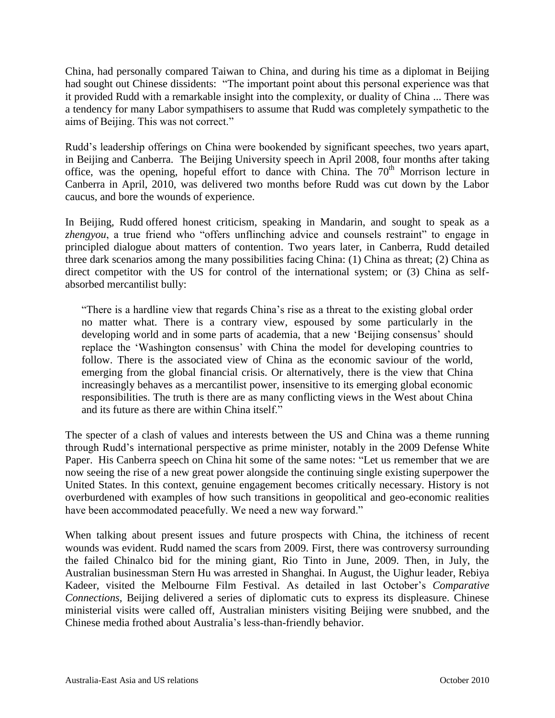China, had personally compared Taiwan to China, and during his time as a diplomat in Beijing had sought out Chinese dissidents: "The important point about this personal experience was that it provided Rudd with a remarkable insight into the complexity, or duality of China ... There was a tendency for many Labor sympathisers to assume that Rudd was completely sympathetic to the aims of Beijing. This was not correct."

Rudd"s leadership offerings on China were bookended by significant speeches, two years apart, in Beijing and Canberra. The Beijing University speech in April 2008, four months after taking office, was the opening, hopeful effort to dance with China. The  $70<sup>th</sup>$  Morrison lecture in Canberra in April, 2010, was delivered two months before Rudd was cut down by the Labor caucus, and bore the wounds of experience.

In Beijing, Rudd offered honest criticism, speaking in Mandarin, and sought to speak as a *zhengyou*, a true friend who "offers unflinching advice and counsels restraint" to engage in principled dialogue about matters of contention. Two years later, in Canberra, Rudd detailed three dark scenarios among the many possibilities facing China: (1) China as threat; (2) China as direct competitor with the US for control of the international system; or (3) China as selfabsorbed mercantilist bully:

"There is a hardline view that regards China"s rise as a threat to the existing global order no matter what. There is a contrary view, espoused by some particularly in the developing world and in some parts of academia, that a new "Beijing consensus" should replace the 'Washington consensus' with China the model for developing countries to follow. There is the associated view of China as the economic saviour of the world, emerging from the global financial crisis. Or alternatively, there is the view that China increasingly behaves as a mercantilist power, insensitive to its emerging global economic responsibilities. The truth is there are as many conflicting views in the West about China and its future as there are within China itself."

The specter of a clash of values and interests between the US and China was a theme running through Rudd"s international perspective as prime minister, notably in the 2009 Defense White Paper. His Canberra speech on China hit some of the same notes: "Let us remember that we are now seeing the rise of a new great power alongside the continuing single existing superpower the United States. In this context, genuine engagement becomes critically necessary. History is not overburdened with examples of how such transitions in geopolitical and geo-economic realities have been accommodated peacefully. We need a new way forward."

When talking about present issues and future prospects with China, the itchiness of recent wounds was evident. Rudd named the scars from 2009. First, there was controversy surrounding the failed Chinalco bid for the mining giant, Rio Tinto in June, 2009. Then, in July, the Australian businessman Stern Hu was arrested in Shanghai. In August, the Uighur leader, Rebiya Kadeer, visited the Melbourne Film Festival. As detailed in last October"s *Comparative Connections,* Beijing delivered a series of diplomatic cuts to express its displeasure. Chinese ministerial visits were called off, Australian ministers visiting Beijing were snubbed, and the Chinese media frothed about Australia"s less-than-friendly behavior.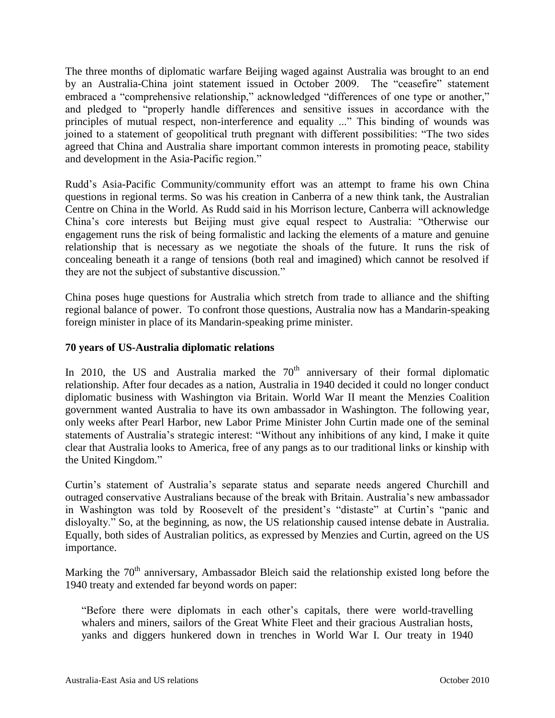The three months of diplomatic warfare Beijing waged against Australia was brought to an end by an Australia-China joint statement issued in October 2009. The "ceasefire" statement embraced a "comprehensive relationship," acknowledged "differences of one type or another," and pledged to "properly handle differences and sensitive issues in accordance with the principles of mutual respect, non-interference and equality ..." This binding of wounds was joined to a statement of geopolitical truth pregnant with different possibilities: "The two sides agreed that China and Australia share important common interests in promoting peace, stability and development in the Asia-Pacific region."

Rudd"s Asia-Pacific Community/community effort was an attempt to frame his own China questions in regional terms. So was his creation in Canberra of a new think tank, the Australian Centre on China in the World. As Rudd said in his Morrison lecture, Canberra will acknowledge China"s core interests but Beijing must give equal respect to Australia: "Otherwise our engagement runs the risk of being formalistic and lacking the elements of a mature and genuine relationship that is necessary as we negotiate the shoals of the future. It runs the risk of concealing beneath it a range of tensions (both real and imagined) which cannot be resolved if they are not the subject of substantive discussion."

China poses huge questions for Australia which stretch from trade to alliance and the shifting regional balance of power. To confront those questions, Australia now has a Mandarin-speaking foreign minister in place of its Mandarin-speaking prime minister.

#### **70 years of US-Australia diplomatic relations**

In 2010, the US and Australia marked the  $70<sup>th</sup>$  anniversary of their formal diplomatic relationship. After four decades as a nation, Australia in 1940 decided it could no longer conduct diplomatic business with Washington via Britain. World War II meant the Menzies Coalition government wanted Australia to have its own ambassador in Washington. The following year, only weeks after Pearl Harbor, new Labor Prime Minister John Curtin made one of the seminal statements of Australia"s strategic interest: "Without any inhibitions of any kind, I make it quite clear that Australia looks to America, free of any pangs as to our traditional links or kinship with the United Kingdom."

Curtin"s statement of Australia"s separate status and separate needs angered Churchill and outraged conservative Australians because of the break with Britain. Australia"s new ambassador in Washington was told by Roosevelt of the president's "distaste" at Curtin's "panic and disloyalty." So, at the beginning, as now, the US relationship caused intense debate in Australia. Equally, both sides of Australian politics, as expressed by Menzies and Curtin, agreed on the US importance.

Marking the  $70<sup>th</sup>$  anniversary, Ambassador Bleich said the relationship existed long before the 1940 treaty and extended far beyond words on paper:

"Before there were diplomats in each other"s capitals, there were world-travelling whalers and miners, sailors of the Great White Fleet and their gracious Australian hosts, yanks and diggers hunkered down in trenches in World War I. Our treaty in 1940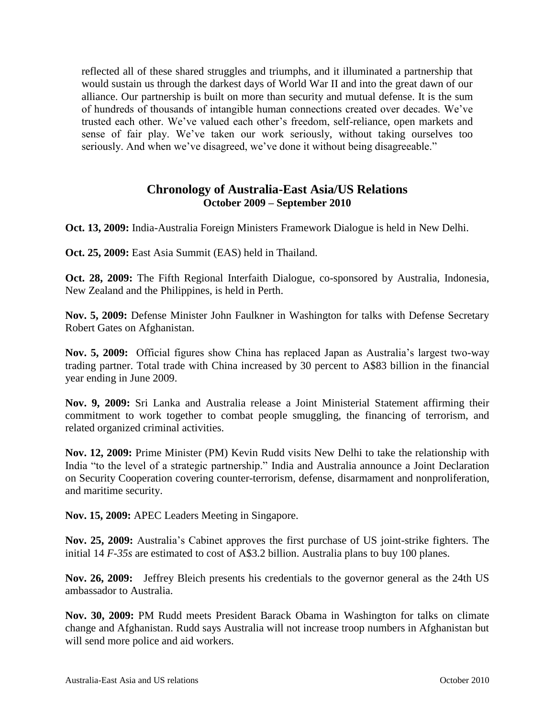reflected all of these shared struggles and triumphs, and it illuminated a partnership that would sustain us through the darkest days of World War II and into the great dawn of our alliance. Our partnership is built on more than security and mutual defense. It is the sum of hundreds of thousands of intangible human connections created over decades. We"ve trusted each other. We"ve valued each other"s freedom, self-reliance, open markets and sense of fair play. We've taken our work seriously, without taking ourselves too seriously. And when we've disagreed, we've done it without being disagreeable."

### **Chronology of Australia-East Asia/US Relations October 2009 – September 2010**

**Oct. 13, 2009:** India-Australia Foreign Ministers Framework Dialogue is held in New Delhi.

**Oct. 25, 2009:** East Asia Summit (EAS) held in Thailand.

**Oct. 28, 2009:** The Fifth Regional Interfaith Dialogue, co-sponsored by Australia, Indonesia, New Zealand and the Philippines, is held in Perth.

**Nov. 5, 2009:** Defense Minister John Faulkner in Washington for talks with Defense Secretary Robert Gates on Afghanistan.

**Nov. 5, 2009:** Official figures show China has replaced Japan as Australia"s largest two-way trading partner. Total trade with China increased by 30 percent to A\$83 billion in the financial year ending in June 2009.

**Nov. 9, 2009:** Sri Lanka and Australia release a Joint Ministerial Statement affirming their commitment to work together to combat people smuggling, the financing of terrorism, and related organized criminal activities.

**Nov. 12, 2009:** Prime Minister (PM) Kevin Rudd visits New Delhi to take the relationship with India "to the level of a strategic partnership." India and Australia announce a Joint Declaration on Security Cooperation covering counter-terrorism, defense, disarmament and nonproliferation, and maritime security.

**Nov. 15, 2009:** APEC Leaders Meeting in Singapore.

**Nov. 25, 2009:** Australia"s Cabinet approves the first purchase of US joint-strike fighters. The initial 14 *F-35s* are estimated to cost of A\$3.2 billion. Australia plans to buy 100 planes.

**Nov. 26, 2009:** Jeffrey Bleich presents his credentials to the governor general as the 24th US ambassador to Australia.

**Nov. 30, 2009:** PM Rudd meets President Barack Obama in Washington for talks on climate change and Afghanistan. Rudd says Australia will not increase troop numbers in Afghanistan but will send more police and aid workers.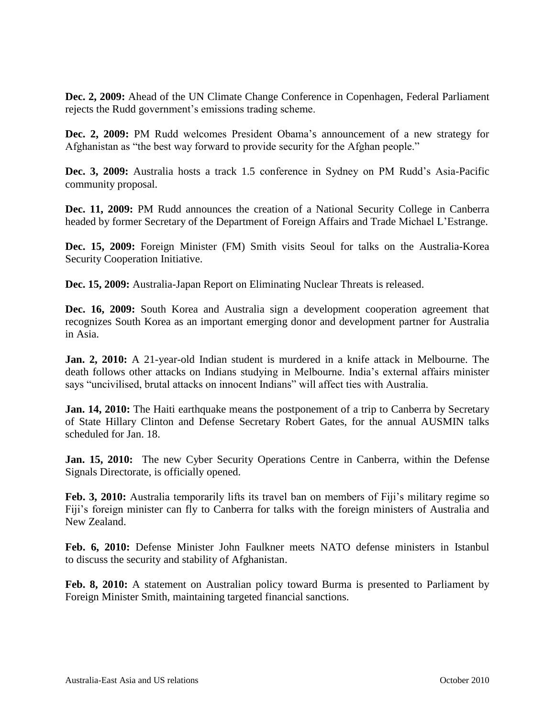**Dec. 2, 2009:** Ahead of the UN Climate Change Conference in Copenhagen, Federal Parliament rejects the Rudd government"s emissions trading scheme.

**Dec. 2, 2009:** PM Rudd welcomes President Obama's announcement of a new strategy for Afghanistan as "the best way forward to provide security for the Afghan people."

**Dec. 3, 2009:** Australia hosts a track 1.5 conference in Sydney on PM Rudd's Asia-Pacific community proposal.

**Dec. 11, 2009:** PM Rudd announces the creation of a National Security College in Canberra headed by former Secretary of the Department of Foreign Affairs and Trade Michael L"Estrange.

**Dec. 15, 2009:** Foreign Minister (FM) Smith visits Seoul for talks on the Australia-Korea Security Cooperation Initiative.

**Dec. 15, 2009:** Australia-Japan Report on Eliminating Nuclear Threats is released.

**Dec. 16, 2009:** South Korea and Australia sign a development cooperation agreement that recognizes South Korea as an important emerging donor and development partner for Australia in Asia.

**Jan. 2, 2010:** A 21-year-old Indian student is murdered in a knife attack in Melbourne. The death follows other attacks on Indians studying in Melbourne. India"s external affairs minister says "uncivilised, brutal attacks on innocent Indians" will affect ties with Australia.

**Jan. 14, 2010:** The Haiti earthquake means the postponement of a trip to Canberra by Secretary of State Hillary Clinton and Defense Secretary Robert Gates, for the annual AUSMIN talks scheduled for Jan. 18.

**Jan. 15, 2010:** The new Cyber Security Operations Centre in Canberra, within the Defense Signals Directorate, is officially opened.

**Feb. 3, 2010:** Australia temporarily lifts its travel ban on members of Fiji's military regime so Fiji's foreign minister can fly to Canberra for talks with the foreign ministers of Australia and New Zealand.

**Feb. 6, 2010:** Defense Minister John Faulkner meets NATO defense ministers in Istanbul to discuss the security and stability of Afghanistan.

**Feb. 8, 2010:** A statement on Australian policy toward Burma is presented to Parliament by Foreign Minister Smith, maintaining targeted financial sanctions.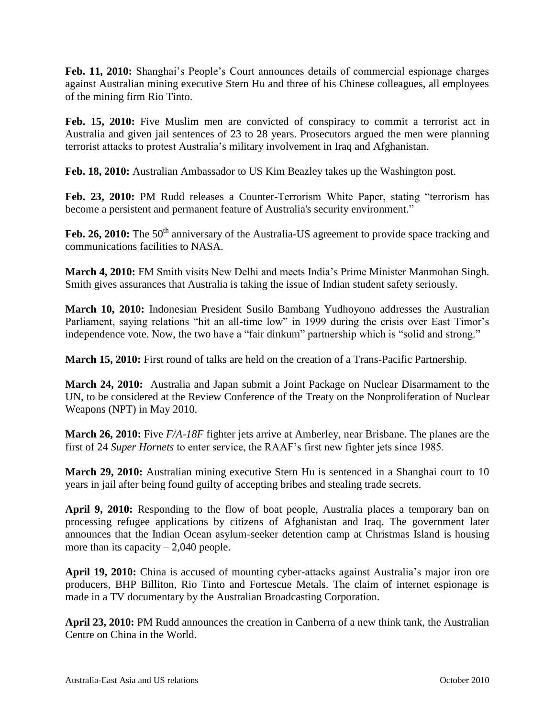**Feb. 11, 2010:** Shanghai"s People"s Court announces details of commercial espionage charges against Australian mining executive Stern Hu and three of his Chinese colleagues, all employees of the mining firm Rio Tinto.

Feb. 15, 2010: Five Muslim men are convicted of conspiracy to commit a terrorist act in Australia and given jail sentences of 23 to 28 years. Prosecutors argued the men were planning terrorist attacks to protest Australia"s military involvement in Iraq and Afghanistan.

**Feb. 18, 2010:** Australian Ambassador to US Kim Beazley takes up the Washington post.

**Feb. 23, 2010:** PM Rudd releases a Counter-Terrorism White Paper, stating "terrorism has become a persistent and permanent feature of Australia's security environment."

Feb. 26, 2010: The 50<sup>th</sup> anniversary of the Australia-US agreement to provide space tracking and communications facilities to NASA.

**March 4, 2010:** FM Smith visits New Delhi and meets India"s Prime Minister Manmohan Singh. Smith gives assurances that Australia is taking the issue of Indian student safety seriously.

**March 10, 2010:** Indonesian President Susilo Bambang Yudhoyono addresses the Australian Parliament, saying relations "hit an all-time low" in 1999 during the crisis over East Timor's independence vote. Now, the two have a "fair dinkum" partnership which is "solid and strong."

**March 15, 2010:** First round of talks are held on the creation of a Trans-Pacific Partnership.

**March 24, 2010:** Australia and Japan submit a Joint Package on Nuclear Disarmament to the UN, to be considered at the Review Conference of the Treaty on the Nonproliferation of Nuclear Weapons (NPT) in May 2010.

**March 26, 2010:** Five *F/A-18F* fighter jets arrive at Amberley, near Brisbane. The planes are the first of 24 *Super Hornets* to enter service, the RAAF"s first new fighter jets since 1985.

**March 29, 2010:** Australian mining executive Stern Hu is sentenced in a Shanghai court to 10 years in jail after being found guilty of accepting bribes and stealing trade secrets.

**April 9, 2010:** Responding to the flow of boat people, Australia places a temporary ban on processing refugee applications by citizens of Afghanistan and Iraq. The government later announces that the Indian Ocean asylum-seeker detention camp at Christmas Island is housing more than its capacity  $-2,040$  people.

April 19, 2010: China is accused of mounting cyber-attacks against Australia's major iron ore producers, BHP Billiton, Rio Tinto and Fortescue Metals. The claim of internet espionage is made in a TV documentary by the Australian Broadcasting Corporation.

**April 23, 2010:** PM Rudd announces the creation in Canberra of a new think tank, the Australian Centre on China in the World.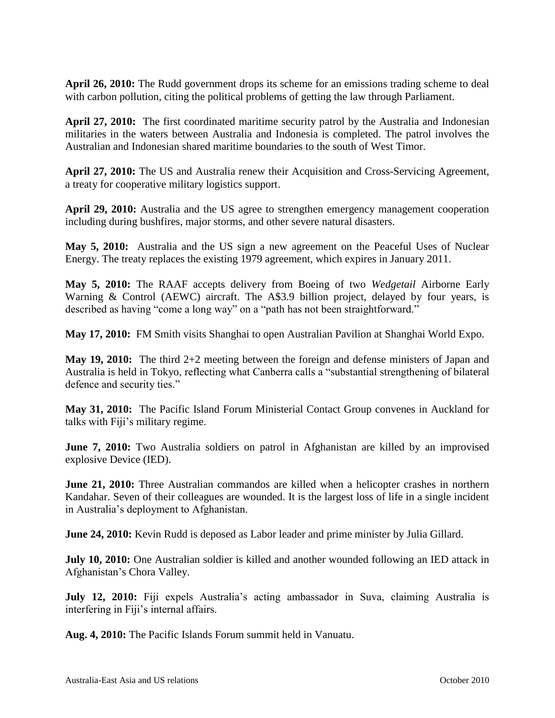**April 26, 2010:** The Rudd government drops its scheme for an emissions trading scheme to deal with carbon pollution, citing the political problems of getting the law through Parliament.

**April 27, 2010:** The first coordinated maritime security patrol by the Australia and Indonesian militaries in the waters between Australia and Indonesia is completed. The patrol involves the Australian and Indonesian shared maritime boundaries to the south of West Timor.

**April 27, 2010:** The US and Australia renew their Acquisition and Cross-Servicing Agreement, a treaty for cooperative military logistics support.

**April 29, 2010:** Australia and the US agree to strengthen emergency management cooperation including during bushfires, major storms, and other severe natural disasters.

**May 5, 2010:** Australia and the US sign a new agreement on the Peaceful Uses of Nuclear Energy. The treaty replaces the existing 1979 agreement, which expires in January 2011.

**May 5, 2010:** The RAAF accepts delivery from Boeing of two *Wedgetail* Airborne Early Warning & Control (AEWC) aircraft. The A\$3.9 billion project, delayed by four years, is described as having "come a long way" on a "path has not been straightforward."

**May 17, 2010:** FM Smith visits Shanghai to open Australian Pavilion at Shanghai World Expo.

**May 19, 2010:** The third 2+2 meeting between the foreign and defense ministers of Japan and Australia is held in Tokyo, reflecting what Canberra calls a "substantial strengthening of bilateral defence and security ties."

**May 31, 2010:** The Pacific Island Forum Ministerial Contact Group convenes in Auckland for talks with Fiji"s military regime.

**June 7, 2010:** Two Australia soldiers on patrol in Afghanistan are killed by an improvised explosive Device (IED).

**June 21, 2010:** Three Australian commandos are killed when a helicopter crashes in northern Kandahar. Seven of their colleagues are wounded. It is the largest loss of life in a single incident in Australia"s deployment to Afghanistan.

**June 24, 2010:** Kevin Rudd is deposed as Labor leader and prime minister by Julia Gillard.

**July 10, 2010:** One Australian soldier is killed and another wounded following an IED attack in Afghanistan"s Chora Valley.

July 12, 2010: Fiji expels Australia's acting ambassador in Suva, claiming Australia is interfering in Fiji"s internal affairs.

**Aug. 4, 2010:** The Pacific Islands Forum summit held in Vanuatu.